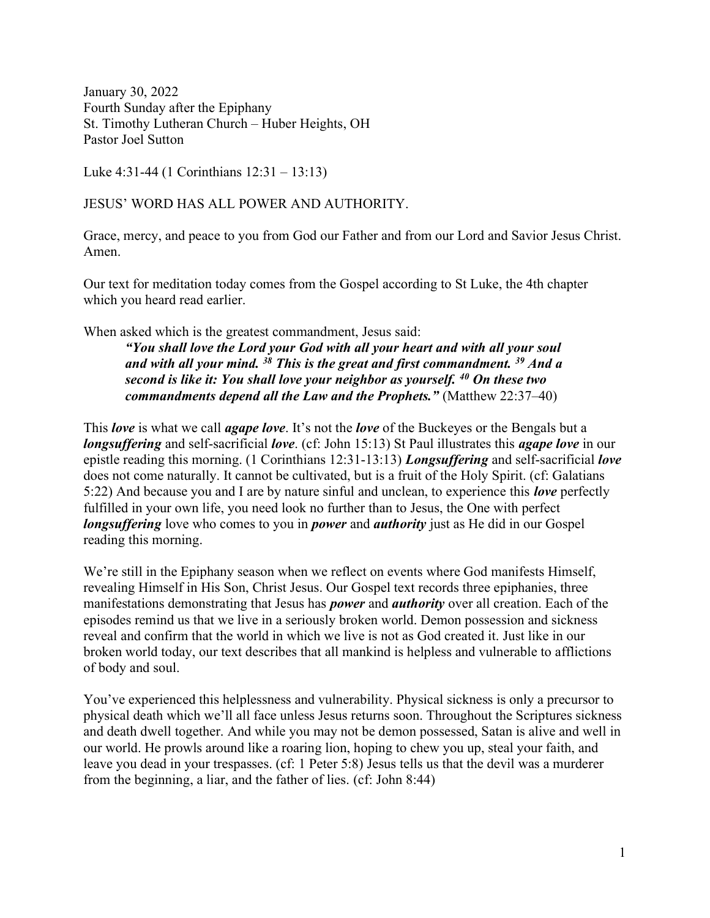January 30, 2022 Fourth Sunday after the Epiphany St. Timothy Lutheran Church – Huber Heights, OH Pastor Joel Sutton

Luke 4:31-44 (1 Corinthians 12:31 – 13:13)

# JESUS' WORD HAS ALL POWER AND AUTHORITY.

Grace, mercy, and peace to you from God our Father and from our Lord and Savior Jesus Christ. Amen.

Our text for meditation today comes from the Gospel according to St Luke, the 4th chapter which you heard read earlier.

When asked which is the greatest commandment, Jesus said:

"You shall love the Lord your God with all your heart and with all your soul and with all your mind.  $38$  This is the great and first commandment.  $39$  And a second is like it: You shall love your neighbor as yourself. <sup>40</sup> On these two commandments depend all the Law and the Prophets." (Matthew 22:37-40)

This *love* is what we call *agape love*. It's not the *love* of the Buckeyes or the Bengals but a longsuffering and self-sacrificial love. (cf: John 15:13) St Paul illustrates this agape love in our epistle reading this morning. (1 Corinthians 12:31-13:13) Longsuffering and self-sacrificial love does not come naturally. It cannot be cultivated, but is a fruit of the Holy Spirit. (cf: Galatians 5:22) And because you and I are by nature sinful and unclean, to experience this *love* perfectly fulfilled in your own life, you need look no further than to Jesus, the One with perfect longsuffering love who comes to you in *power* and *authority* just as He did in our Gospel reading this morning.

We're still in the Epiphany season when we reflect on events where God manifests Himself, revealing Himself in His Son, Christ Jesus. Our Gospel text records three epiphanies, three manifestations demonstrating that Jesus has *power* and *authority* over all creation. Each of the episodes remind us that we live in a seriously broken world. Demon possession and sickness reveal and confirm that the world in which we live is not as God created it. Just like in our broken world today, our text describes that all mankind is helpless and vulnerable to afflictions of body and soul.

You've experienced this helplessness and vulnerability. Physical sickness is only a precursor to physical death which we'll all face unless Jesus returns soon. Throughout the Scriptures sickness and death dwell together. And while you may not be demon possessed, Satan is alive and well in our world. He prowls around like a roaring lion, hoping to chew you up, steal your faith, and leave you dead in your trespasses. (cf: 1 Peter 5:8) Jesus tells us that the devil was a murderer from the beginning, a liar, and the father of lies. (cf: John 8:44)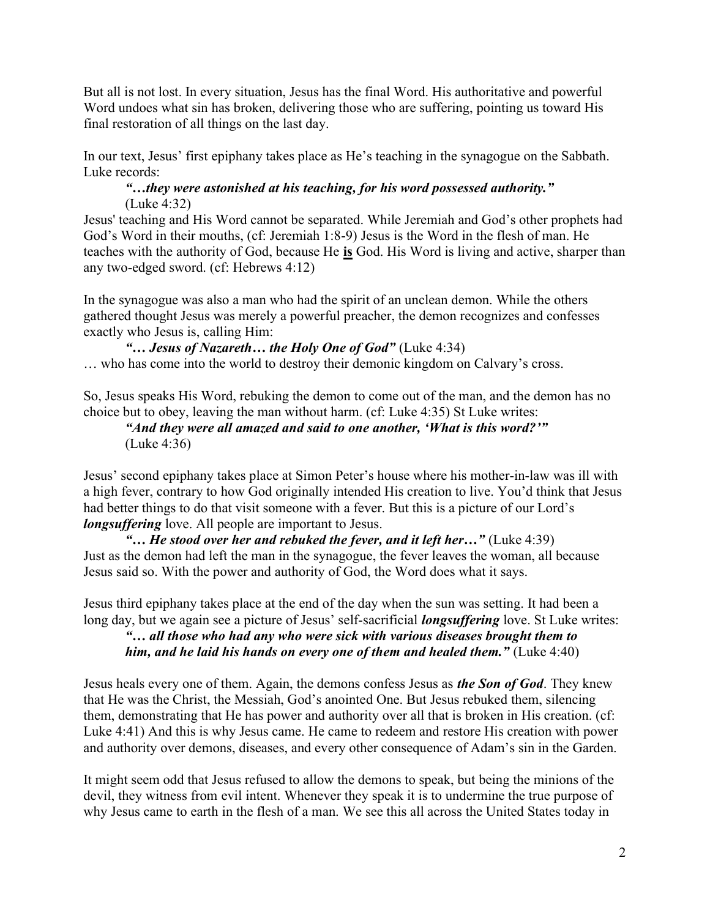But all is not lost. In every situation, Jesus has the final Word. His authoritative and powerful Word undoes what sin has broken, delivering those who are suffering, pointing us toward His final restoration of all things on the last day.

In our text, Jesus' first epiphany takes place as He's teaching in the synagogue on the Sabbath. Luke records:

#### "…they were astonished at his teaching, for his word possessed authority." (Luke 4:32)

Jesus' teaching and His Word cannot be separated. While Jeremiah and God's other prophets had God's Word in their mouths, (cf: Jeremiah 1:8-9) Jesus is the Word in the flesh of man. He teaches with the authority of God, because He is God. His Word is living and active, sharper than any two-edged sword. (cf: Hebrews 4:12)

In the synagogue was also a man who had the spirit of an unclean demon. While the others gathered thought Jesus was merely a powerful preacher, the demon recognizes and confesses exactly who Jesus is, calling Him:

```
"... Jesus of Nazareth... the Holy One of God" (Luke 4:34)
```
… who has come into the world to destroy their demonic kingdom on Calvary's cross.

So, Jesus speaks His Word, rebuking the demon to come out of the man, and the demon has no choice but to obey, leaving the man without harm. (cf: Luke 4:35) St Luke writes:

"And they were all amazed and said to one another, 'What is this word?'" (Luke 4:36)

Jesus' second epiphany takes place at Simon Peter's house where his mother-in-law was ill with a high fever, contrary to how God originally intended His creation to live. You'd think that Jesus had better things to do that visit someone with a fever. But this is a picture of our Lord's **longsuffering** love. All people are important to Jesus.

"... He stood over her and rebuked the fever, and it left her..." (Luke 4:39) Just as the demon had left the man in the synagogue, the fever leaves the woman, all because Jesus said so. With the power and authority of God, the Word does what it says.

Jesus third epiphany takes place at the end of the day when the sun was setting. It had been a long day, but we again see a picture of Jesus' self-sacrificial **longsuffering** love. St Luke writes:

"... all those who had any who were sick with various diseases brought them to him, and he laid his hands on every one of them and healed them." (Luke 4:40)

Jesus heals every one of them. Again, the demons confess Jesus as *the Son of God*. They knew that He was the Christ, the Messiah, God's anointed One. But Jesus rebuked them, silencing them, demonstrating that He has power and authority over all that is broken in His creation. (cf: Luke 4:41) And this is why Jesus came. He came to redeem and restore His creation with power and authority over demons, diseases, and every other consequence of Adam's sin in the Garden.

It might seem odd that Jesus refused to allow the demons to speak, but being the minions of the devil, they witness from evil intent. Whenever they speak it is to undermine the true purpose of why Jesus came to earth in the flesh of a man. We see this all across the United States today in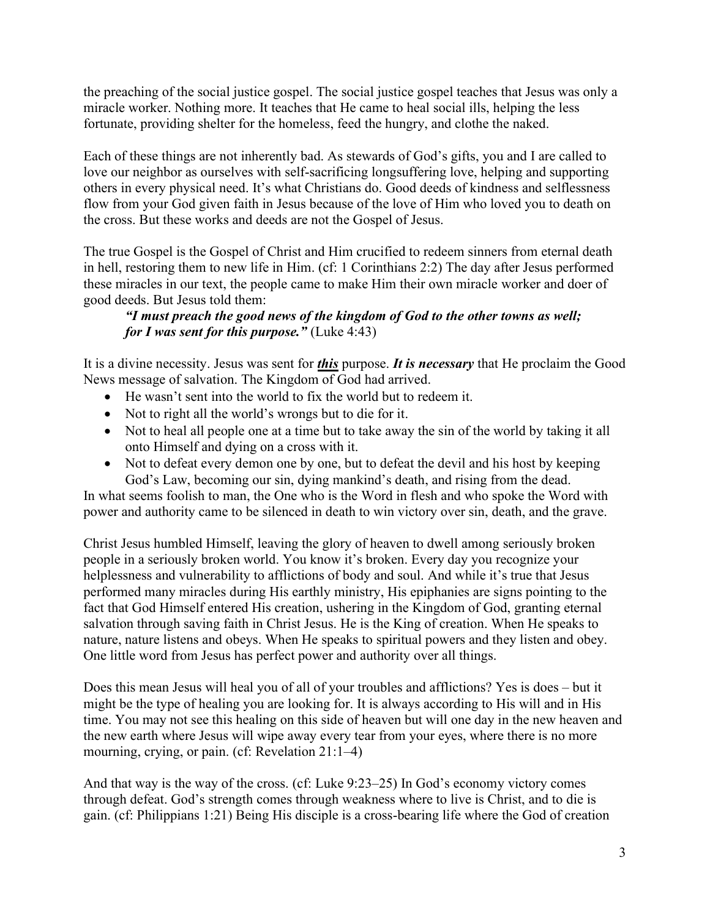the preaching of the social justice gospel. The social justice gospel teaches that Jesus was only a miracle worker. Nothing more. It teaches that He came to heal social ills, helping the less fortunate, providing shelter for the homeless, feed the hungry, and clothe the naked.

Each of these things are not inherently bad. As stewards of God's gifts, you and I are called to love our neighbor as ourselves with self-sacrificing longsuffering love, helping and supporting others in every physical need. It's what Christians do. Good deeds of kindness and selflessness flow from your God given faith in Jesus because of the love of Him who loved you to death on the cross. But these works and deeds are not the Gospel of Jesus.

The true Gospel is the Gospel of Christ and Him crucified to redeem sinners from eternal death in hell, restoring them to new life in Him. (cf: 1 Corinthians 2:2) The day after Jesus performed these miracles in our text, the people came to make Him their own miracle worker and doer of good deeds. But Jesus told them:

# "I must preach the good news of the kingdom of God to the other towns as well; for I was sent for this purpose." (Luke  $4:43$ )

It is a divine necessity. Jesus was sent for *this* purpose. It is necessary that He proclaim the Good News message of salvation. The Kingdom of God had arrived.

- He wasn't sent into the world to fix the world but to redeem it.
- Not to right all the world's wrongs but to die for it.
- Not to heal all people one at a time but to take away the sin of the world by taking it all onto Himself and dying on a cross with it.
- Not to defeat every demon one by one, but to defeat the devil and his host by keeping God's Law, becoming our sin, dying mankind's death, and rising from the dead.

In what seems foolish to man, the One who is the Word in flesh and who spoke the Word with power and authority came to be silenced in death to win victory over sin, death, and the grave.

Christ Jesus humbled Himself, leaving the glory of heaven to dwell among seriously broken people in a seriously broken world. You know it's broken. Every day you recognize your helplessness and vulnerability to afflictions of body and soul. And while it's true that Jesus performed many miracles during His earthly ministry, His epiphanies are signs pointing to the fact that God Himself entered His creation, ushering in the Kingdom of God, granting eternal salvation through saving faith in Christ Jesus. He is the King of creation. When He speaks to nature, nature listens and obeys. When He speaks to spiritual powers and they listen and obey. One little word from Jesus has perfect power and authority over all things.

Does this mean Jesus will heal you of all of your troubles and afflictions? Yes is does – but it might be the type of healing you are looking for. It is always according to His will and in His time. You may not see this healing on this side of heaven but will one day in the new heaven and the new earth where Jesus will wipe away every tear from your eyes, where there is no more mourning, crying, or pain. (cf: Revelation 21:1-4)

And that way is the way of the cross. (cf: Luke 9:23–25) In God's economy victory comes through defeat. God's strength comes through weakness where to live is Christ, and to die is gain. (cf: Philippians 1:21) Being His disciple is a cross-bearing life where the God of creation